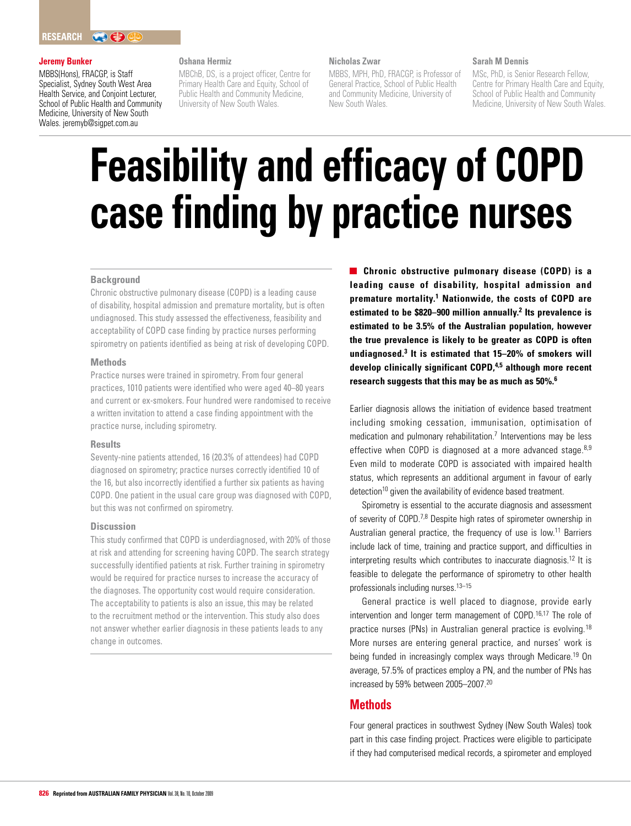#### **Jeremy Bunker**

MBBS(Hons), FRACGP, is Staff Specialist, Sydney South West Area Health Service, and Conjoint Lecturer, School of Public Health and Community Medicine, University of New South Wales. jeremyb@sigpet.com.au

#### **Oshana Hermiz**

MBChB, DS, is a project officer, Centre for Primary Health Care and Equity, School of Public Health and Community Medicine, University of New South Wales.

#### **Nicholas Zwar**

MBBS, MPH, PhD, FRACGP, is Professor of General Practice, School of Public Health and Community Medicine, University of New South Wales.

#### **Sarah M Dennis**

MSc, PhD, is Senior Research Fellow, Centre for Primary Health Care and Equity, School of Public Health and Community Medicine, University of New South Wales.

# **Feasibility and efficacy of COPD case finding by practice nurses**

#### **Background**

Chronic obstructive pulmonary disease (COPD) is a leading cause of disability, hospital admission and premature mortality, but is often undiagnosed. This study assessed the effectiveness, feasibility and acceptability of COPD case finding by practice nurses performing spirometry on patients identified as being at risk of developing COPD.

#### **Methods**

Practice nurses were trained in spirometry. From four general practices, 1010 patients were identified who were aged 40–80 years and current or ex-smokers. Four hundred were randomised to receive a written invitation to attend a case finding appointment with the practice nurse, including spirometry.

#### **Results**

Seventy-nine patients attended, 16 (20.3% of attendees) had COPD diagnosed on spirometry; practice nurses correctly identified 10 of the 16, but also incorrectly identified a further six patients as having COPD. One patient in the usual care group was diagnosed with COPD, but this was not confirmed on spirometry.

#### **Discussion**

This study confirmed that COPD is underdiagnosed, with 20% of those at risk and attending for screening having COPD. The search strategy successfully identified patients at risk. Further training in spirometry would be required for practice nurses to increase the accuracy of the diagnoses. The opportunity cost would require consideration. The acceptability to patients is also an issue, this may be related to the recruitment method or the intervention. This study also does not answer whether earlier diagnosis in these patients leads to any change in outcomes.

**Chronic obstructive pulmonary disease (COPD) is a leading cause of disability, hospital admission and premature mortality.1 Nationwide, the costs of COPD are estimated to be \$820–900 million annually.2 Its prevalence is estimated to be 3.5% of the Australian population, however the true prevalence is likely to be greater as COPD is often undiagnosed.3 It is estimated that 15–20% of smokers will develop clinically significant COPD,4,5 although more recent research suggests that this may be as much as 50%.6**

Earlier diagnosis allows the initiation of evidence based treatment including smoking cessation, immunisation, optimisation of medication and pulmonary rehabilitation.<sup>7</sup> Interventions may be less effective when COPD is diagnosed at a more advanced stage. $8,9$ Even mild to moderate COPD is associated with impaired health status, which represents an additional argument in favour of early detection<sup>10</sup> given the availability of evidence based treatment.

Spirometry is essential to the accurate diagnosis and assessment of severity of COPD.7,8 Despite high rates of spirometer ownership in Australian general practice, the frequency of use is low.<sup>11</sup> Barriers include lack of time, training and practice support, and difficulties in interpreting results which contributes to inaccurate diagnosis.12 It is feasible to delegate the performance of spirometry to other health professionals including nurses.<sup>13–15</sup>

General practice is well placed to diagnose, provide early intervention and longer term management of COPD.<sup>16,17</sup> The role of practice nurses (PNs) in Australian general practice is evolving.<sup>18</sup> More nurses are entering general practice, and nurses' work is being funded in increasingly complex ways through Medicare.19 On average, 57.5% of practices employ a PN, and the number of PNs has increased by 59% between 2005–2007.20

## **Methods**

Four general practices in southwest Sydney (New South Wales) took part in this case finding project. Practices were eligible to participate if they had computerised medical records, a spirometer and employed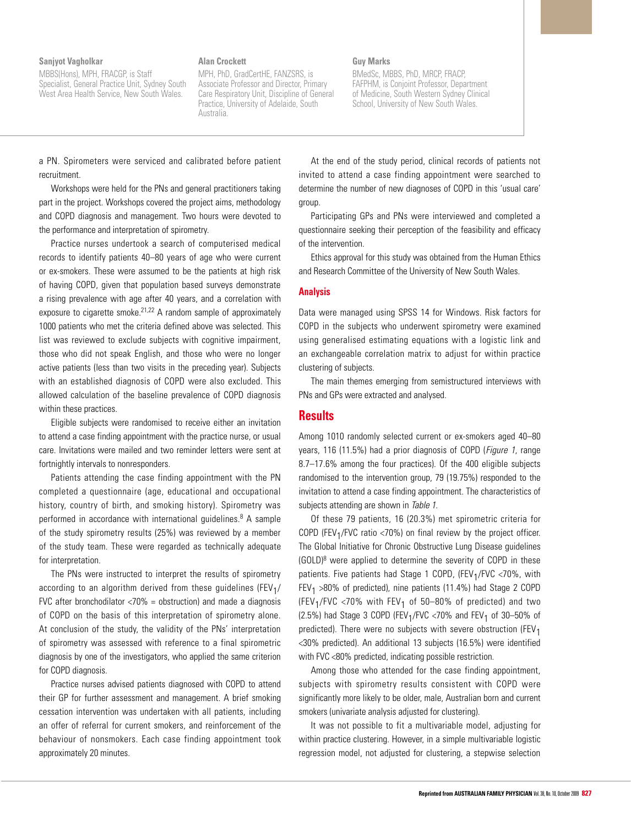#### **Sanjyot Vagholkar**

MBBS(Hons), MPH, FRACGP, is Staff Specialist, General Practice Unit, Sydney South West Area Health Service, New South Wales.

#### **Alan Crockett**

MPH, PhD, GradCertHE, FANZSRS, is Associate Professor and Director, Primary Care Respiratory Unit, Discipline of General Practice, University of Adelaide, South Australia.

#### **Guy Marks**

BMedSc, MBBS, PhD, MRCP, FRACP, FAFPHM, is Conjoint Professor, Department of Medicine, South Western Sydney Clinical School, University of New South Wales.

a PN. Spirometers were serviced and calibrated before patient recruitment.

Workshops were held for the PNs and general practitioners taking part in the project. Workshops covered the project aims, methodology and COPD diagnosis and management. Two hours were devoted to the performance and interpretation of spirometry.

Practice nurses undertook a search of computerised medical records to identify patients 40–80 years of age who were current or ex-smokers. These were assumed to be the patients at high risk of having COPD, given that population based surveys demonstrate a rising prevalence with age after 40 years, and a correlation with exposure to cigarette smoke.<sup>21,22</sup> A random sample of approximately 1000 patients who met the criteria defined above was selected. This list was reviewed to exclude subjects with cognitive impairment, those who did not speak English, and those who were no longer active patients (less than two visits in the preceding year). Subjects with an established diagnosis of COPD were also excluded. This allowed calculation of the baseline prevalence of COPD diagnosis within these practices.

Eligible subjects were randomised to receive either an invitation to attend a case finding appointment with the practice nurse, or usual care. Invitations were mailed and two reminder letters were sent at fortnightly intervals to nonresponders.

Patients attending the case finding appointment with the PN completed a questionnaire (age, educational and occupational history, country of birth, and smoking history). Spirometry was performed in accordance with international guidelines.<sup>8</sup> A sample of the study spirometry results (25%) was reviewed by a member of the study team. These were regarded as technically adequate for interpretation.

The PNs were instructed to interpret the results of spirometry according to an algorithm derived from these guidelines ( $FEV<sub>1</sub>/$ FVC after bronchodilator <70% = obstruction) and made a diagnosis of COPD on the basis of this interpretation of spirometry alone. At conclusion of the study, the validity of the PNs' interpretation of spirometry was assessed with reference to a final spirometric diagnosis by one of the investigators, who applied the same criterion for COPD diagnosis.

Practice nurses advised patients diagnosed with COPD to attend their GP for further assessment and management. A brief smoking cessation intervention was undertaken with all patients, including an offer of referral for current smokers, and reinforcement of the behaviour of nonsmokers. Each case finding appointment took approximately 20 minutes.

At the end of the study period, clinical records of patients not invited to attend a case finding appointment were searched to determine the number of new diagnoses of COPD in this 'usual care' group.

Participating GPs and PNs were interviewed and completed a questionnaire seeking their perception of the feasibility and efficacy of the intervention.

Ethics approval for this study was obtained from the Human Ethics and Research Committee of the University of New South Wales.

### **Analysis**

Data were managed using SPSS 14 for Windows. Risk factors for COPD in the subjects who underwent spirometry were examined using generalised estimating equations with a logistic link and an exchangeable correlation matrix to adjust for within practice clustering of subjects.

The main themes emerging from semistructured interviews with PNs and GPs were extracted and analysed.

## **Results**

Among 1010 randomly selected current or ex-smokers aged 40–80 years, 116 (11.5%) had a prior diagnosis of COPD (*Figure 1*, range 8.7–17.6% among the four practices). Of the 400 eligible subjects randomised to the intervention group, 79 (19.75%) responded to the invitation to attend a case finding appointment. The characteristics of subjects attending are shown in Table 1.

Of these 79 patients, 16 (20.3%) met spirometric criteria for COPD (FEV<sub>1</sub>/FVC ratio <70%) on final review by the project officer. The Global Initiative for Chronic Obstructive Lung Disease guidelines  $(GOLD)^8$  were applied to determine the severity of COPD in these patients. Five patients had Stage 1 COPD, (FEV<sub>1</sub>/FVC <70%, with  $FEV<sub>1</sub> >80%$  of predicted), nine patients (11.4%) had Stage 2 COPD (FEV<sub>1</sub>/FVC <70% with FEV<sub>1</sub> of 50-80% of predicted) and two (2.5%) had Stage 3 COPD (FEV<sub>1</sub>/FVC <70% and FEV<sub>1</sub> of 30-50% of predicted). There were no subjects with severe obstruction (FEV<sub>1</sub> <30% predicted). An additional 13 subjects (16.5%) were identified with FVC <80% predicted, indicating possible restriction.

Among those who attended for the case finding appointment, subjects with spirometry results consistent with COPD were significantly more likely to be older, male, Australian born and current smokers (univariate analysis adjusted for clustering).

It was not possible to fit a multivariable model, adjusting for within practice clustering. However, in a simple multivariable logistic regression model, not adjusted for clustering, a stepwise selection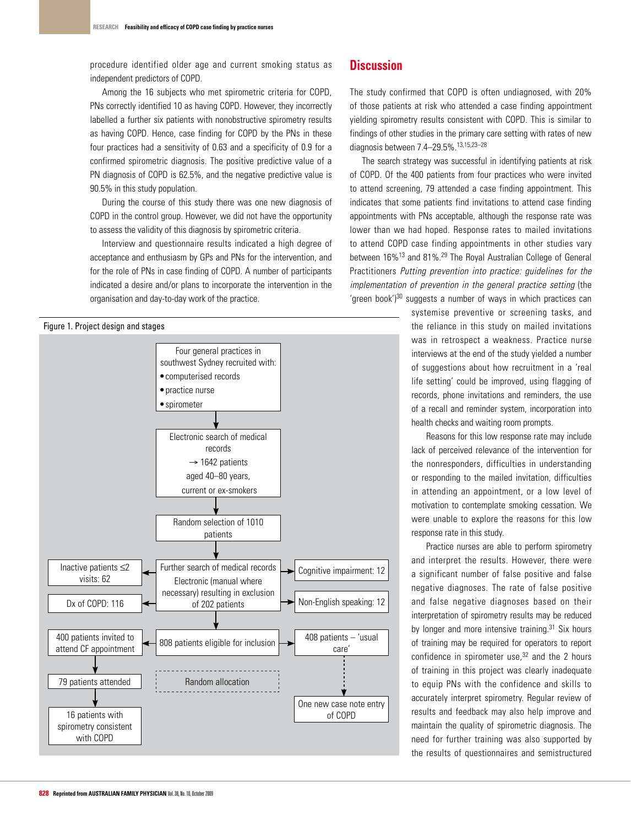procedure identified older age and current smoking status as independent predictors of COPD.

Among the 16 subjects who met spirometric criteria for COPD, PNs correctly identified 10 as having COPD. However, they incorrectly labelled a further six patients with nonobstructive spirometry results as having COPD. Hence, case finding for COPD by the PNs in these four practices had a sensitivity of 0.63 and a specificity of 0.9 for a confirmed spirometric diagnosis. The positive predictive value of a PN diagnosis of COPD is 62.5%, and the negative predictive value is 90.5% in this study population.

During the course of this study there was one new diagnosis of COPD in the control group. However, we did not have the opportunity to assess the validity of this diagnosis by spirometric criteria.

Interview and questionnaire results indicated a high degree of acceptance and enthusiasm by GPs and PNs for the intervention, and for the role of PNs in case finding of COPD. A number of participants indicated a desire and/or plans to incorporate the intervention in the organisation and day-to-day work of the practice.

#### Figure 1. Project design and stages



# **Discussion**

The study confirmed that COPD is often undiagnosed, with 20% of those patients at risk who attended a case finding appointment yielding spirometry results consistent with COPD. This is similar to findings of other studies in the primary care setting with rates of new diagnosis between 7.4–29.5%.13,15,23–28

The search strategy was successful in identifying patients at risk of COPD. Of the 400 patients from four practices who were invited to attend screening, 79 attended a case finding appointment. This indicates that some patients find invitations to attend case finding appointments with PNs acceptable, although the response rate was lower than we had hoped. Response rates to mailed invitations to attend COPD case finding appointments in other studies vary between 16%13 and 81%.29 The Royal Australian College of General Practitioners Putting prevention into practice: guidelines for the implementation of prevention in the general practice setting (the 'green book')30 suggests a number of ways in which practices can

> systemise preventive or screening tasks, and the reliance in this study on mailed invitations was in retrospect a weakness. Practice nurse interviews at the end of the study yielded a number of suggestions about how recruitment in a 'real life setting' could be improved, using flagging of records, phone invitations and reminders, the use of a recall and reminder system, incorporation into health checks and waiting room prompts.

> Reasons for this low response rate may include lack of perceived relevance of the intervention for the nonresponders, difficulties in understanding or responding to the mailed invitation, difficulties in attending an appointment, or a low level of motivation to contemplate smoking cessation. We were unable to explore the reasons for this low response rate in this study.

> Practice nurses are able to perform spirometry and interpret the results. However, there were a significant number of false positive and false negative diagnoses. The rate of false positive and false negative diagnoses based on their interpretation of spirometry results may be reduced by longer and more intensive training.<sup>31</sup> Six hours of training may be required for operators to report confidence in spirometer use, $32$  and the 2 hours of training in this project was clearly inadequate to equip PNs with the confidence and skills to accurately interpret spirometry. Regular review of results and feedback may also help improve and maintain the quality of spirometric diagnosis. The need for further training was also supported by the results of questionnaires and semistructured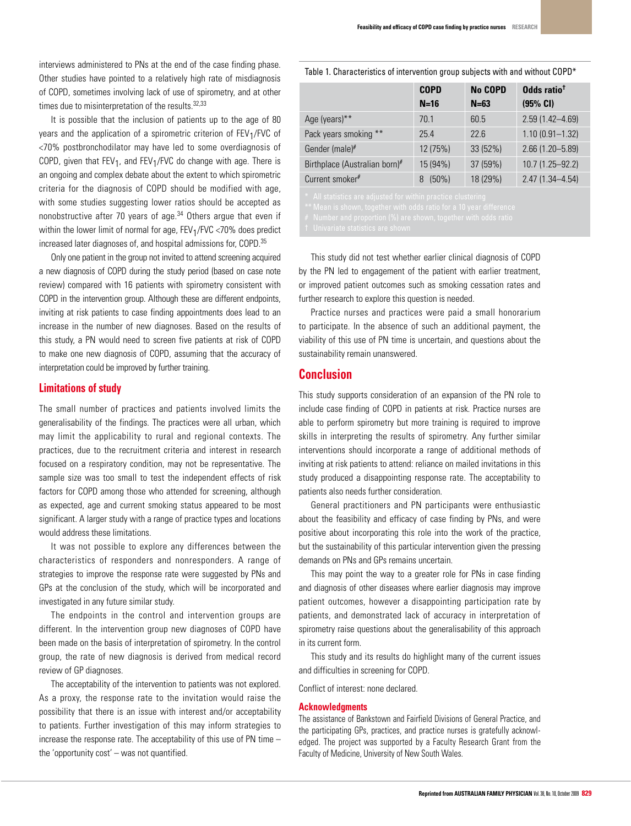interviews administered to PNs at the end of the case finding phase. Other studies have pointed to a relatively high rate of misdiagnosis of COPD, sometimes involving lack of use of spirometry, and at other times due to misinterpretation of the results.<sup>32,33</sup>

It is possible that the inclusion of patients up to the age of 80 years and the application of a spirometric criterion of  $FEV<sub>1</sub>/FVC$  of <70% postbronchodilator may have led to some overdiagnosis of COPD, given that  $FEV_1$ , and  $FEV_1/FVC$  do change with age. There is an ongoing and complex debate about the extent to which spirometric criteria for the diagnosis of COPD should be modified with age, with some studies suggesting lower ratios should be accepted as nonobstructive after 70 years of age.<sup>34</sup> Others argue that even if within the lower limit of normal for age,  $FEV<sub>1</sub>/FVC < 70%$  does predict increased later diagnoses of, and hospital admissions for, COPD.35

Only one patient in the group not invited to attend screening acquired a new diagnosis of COPD during the study period (based on case note review) compared with 16 patients with spirometry consistent with COPD in the intervention group. Although these are different endpoints, inviting at risk patients to case finding appointments does lead to an increase in the number of new diagnoses. Based on the results of this study, a PN would need to screen five patients at risk of COPD to make one new diagnosis of COPD, assuming that the accuracy of interpretation could be improved by further training.

## **Limitations of study**

The small number of practices and patients involved limits the generalisability of the findings. The practices were all urban, which may limit the applicability to rural and regional contexts. The practices, due to the recruitment criteria and interest in research focused on a respiratory condition, may not be representative. The sample size was too small to test the independent effects of risk factors for COPD among those who attended for screening, although as expected, age and current smoking status appeared to be most significant. A larger study with a range of practice types and locations would address these limitations.

It was not possible to explore any differences between the characteristics of responders and nonresponders. A range of strategies to improve the response rate were suggested by PNs and GPs at the conclusion of the study, which will be incorporated and investigated in any future similar study.

The endpoints in the control and intervention groups are different. In the intervention group new diagnoses of COPD have been made on the basis of interpretation of spirometry. In the control group, the rate of new diagnosis is derived from medical record review of GP diagnoses.

The acceptability of the intervention to patients was not explored. As a proxy, the response rate to the invitation would raise the possibility that there is an issue with interest and/or acceptability to patients. Further investigation of this may inform strategies to increase the response rate. The acceptability of this use of PN time – the 'opportunity cost' – was not quantified.

Table 1. Characteristics of intervention group subjects with and without COPD\*

|                               | <b>COPD</b>   | <b>No COPD</b> | Odds ratio <sup>t</sup> |
|-------------------------------|---------------|----------------|-------------------------|
|                               | $N=16$        | $N=63$         | (95% CI)                |
| Age (years)**                 | 70.1          | 60.5           | $2.59(1.42 - 4.69)$     |
| Pack years smoking **         | 25.4          | 22.6           | $1.10(0.91 - 1.32)$     |
| Gender (male)#                | 12(75%)       | 33 (52%)       | 2.66 (1.20-5.89)        |
| Birthplace (Australian born)# | 15 (94%)      | 37 (59%)       | 10.7 (1.25-92.2)        |
| Current smoker#               | $(50\%)$<br>8 | 18 (29%)       | $2.47(1.34 - 4.54)$     |

This study did not test whether earlier clinical diagnosis of COPD by the PN led to engagement of the patient with earlier treatment, or improved patient outcomes such as smoking cessation rates and further research to explore this question is needed.

Practice nurses and practices were paid a small honorarium to participate. In the absence of such an additional payment, the viability of this use of PN time is uncertain, and questions about the sustainability remain unanswered.

## **Conclusion**

This study supports consideration of an expansion of the PN role to include case finding of COPD in patients at risk. Practice nurses are able to perform spirometry but more training is required to improve skills in interpreting the results of spirometry. Any further similar interventions should incorporate a range of additional methods of inviting at risk patients to attend: reliance on mailed invitations in this study produced a disappointing response rate. The acceptability to patients also needs further consideration.

General practitioners and PN participants were enthusiastic about the feasibility and efficacy of case finding by PNs, and were positive about incorporating this role into the work of the practice, but the sustainability of this particular intervention given the pressing demands on PNs and GPs remains uncertain.

This may point the way to a greater role for PNs in case finding and diagnosis of other diseases where earlier diagnosis may improve patient outcomes, however a disappointing participation rate by patients, and demonstrated lack of accuracy in interpretation of spirometry raise questions about the generalisability of this approach in its current form.

This study and its results do highlight many of the current issues and difficulties in screening for COPD.

Conflict of interest: none declared.

#### **Acknowledgments**

The assistance of Bankstown and Fairfield Divisions of General Practice, and the participating GPs, practices, and practice nurses is gratefully acknowledged. The project was supported by a Faculty Research Grant from the Faculty of Medicine, University of New South Wales.